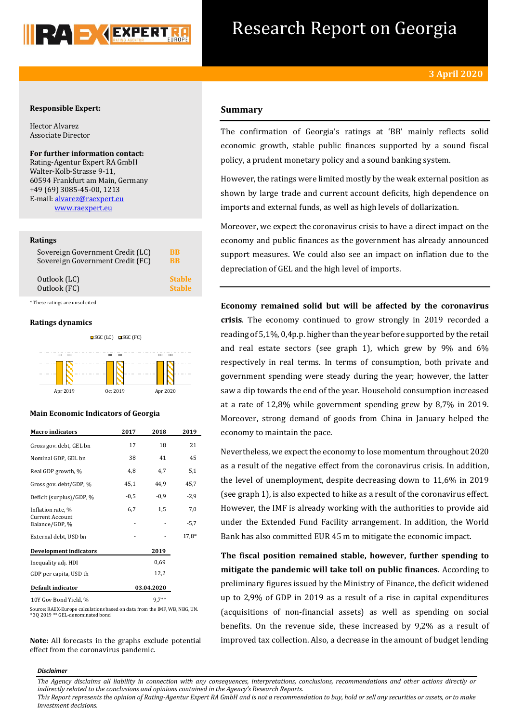

# Research Report on Georgia

### **Responsible Expert:**

Hector Alvarez Associate Director

**For further information contact:** Rating-Agentur Expert RA GmbH Walter-Kolb-Strasse 9-11, 60594 Frankfurt am Main, Germany +49 (69) 3085-45-00, 1213 E-mail[: alvarez@raexpert.eu](mailto:alvarez@raexpert.eu) [www.raexpert.eu](http://raexpert.eu/)

### **Ratings**

| Sovereign Government Credit (LC) | BB                   |
|----------------------------------|----------------------|
| Sovereign Government Credit (FC) | <b>R<sub>R</sub></b> |
| Outlook (LC)                     | <b>Stable</b>        |
| Outlook (FC)                     | <b>Stable</b>        |

\* These ratings are unsolicited

### **Ratings dynamics**





### **Main Economic Indicators of Georgia**

| <b>Macro</b> indicators                  | 2017   | 2018       | 2019    |
|------------------------------------------|--------|------------|---------|
| Gross gov. debt, GEL bn                  | 17     | 18         | 21      |
| Nominal GDP, GEL bn                      | 38     | 41         | 45      |
| Real GDP growth, %                       | 4,8    | 4,7        | 5,1     |
| Gross gov. debt/GDP, %                   | 45,1   | 44,9       | 45,7    |
| Deficit (surplus)/GDP, %                 | $-0.5$ | $-0.9$     | $-2,9$  |
| Inflation rate, %                        | 6,7    | 1,5        | 7,0     |
| <b>Current Account</b><br>Balance/GDP, % |        |            | $-5,7$  |
| External debt, USD bn                    |        |            | $17,8*$ |
| <b>Development indicators</b>            |        | 2019       |         |
| Inequality adj. HDI                      |        | 0.69       |         |
| GDP per capita, USD th                   |        | 12,2       |         |
| Default indicator                        |        | 03.04.2020 |         |
| 10Y Gov Bond Yield, %                    |        | $9.7**$    |         |

Source: RAEX-Europe calculations based on data from the IMF, WB, NBG, UN. \* 3Q 2019 \*\* GEL-denominated bond

**Note:** All forecasts in the graphs exclude potential effect from the coronavirus pandemic.

## **Summary**

The confirmation of Georgia's ratings at 'BB' mainly reflects solid economic growth, stable public finances supported by a sound fiscal policy, a prudent monetary policy and a sound banking system.

However, the ratings were limited mostly by the weak external position as shown by large trade and current account deficits, high dependence on imports and external funds, as well as high levels of dollarization.

Moreover, we expect the coronavirus crisis to have a direct impact on the economy and public finances as the government has already announced support measures. We could also see an impact on inflation due to the depreciation of GEL and the high level of imports.

**Economy remained solid but will be affected by the coronavirus crisis**. The economy continued to grow strongly in 2019 recorded a reading of 5,1%, 0,4p.p. higher than the year before supported by the retail and real estate sectors (see graph 1), which grew by 9% and 6% respectively in real terms. In terms of consumption, both private and government spending were steady during the year; however, the latter saw a dip towards the end of the year. Household consumption increased at a rate of 12,8% while government spending grew by 8,7% in 2019. Moreover, strong demand of goods from China in January helped the economy to maintain the pace.

Nevertheless, we expect the economy to lose momentum throughout 2020 as a result of the negative effect from the coronavirus crisis. In addition, the level of unemployment, despite decreasing down to 11,6% in 2019 (see graph 1), is also expected to hike as a result of the coronavirus effect. However, the IMF is already working with the authorities to provide aid under the Extended Fund Facility arrangement. In addition, the World Bank has also committed EUR 45 m to mitigate the economic impact.

**The fiscal position remained stable, however, further spending to mitigate the pandemic will take toll on public finances**. According to preliminary figures issued by the Ministry of Finance, the deficit widened up to 2,9% of GDP in 2019 as a result of a rise in capital expenditures (acquisitions of non-financial assets) as well as spending on social benefits. On the revenue side, these increased by 9,2% as a result of improved tax collection. Also, a decrease in the amount of budget lending

### *Disclaimer*

*The Agency disclaims all liability in connection with any consequences, interpretations, conclusions, recommendations and other actions directly or indirectly related to the conclusions and opinions contained in the Agency's Research Reports.*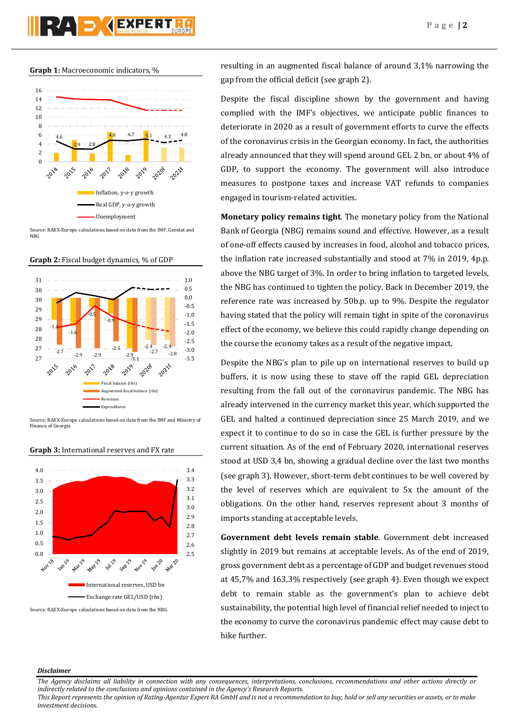# RAD JARERT

### **Graph 1:** Macroeconomic indicators, %



Source: RAEX-Europe calculations based on data from the IMF, Geostat and NBG

**Graph 2:** Fiscal budget dynamics, % of GDP



Source: RAEX-Europe calculations based on data from the IMF and Ministry of Finance of Georgia



### **Graph 3:** International reserves and FX rate

resulting in an augmented fiscal balance of around 3,1% narrowing the gap from the official deficit (see graph 2).

Despite the fiscal discipline shown by the government and having complied with the IMF's objectives, we anticipate public finances to deteriorate in 2020 as a result of government efforts to curve the effects of the coronavirus crisis in the Georgian economy. In fact, the authorities already announced that they will spend around GEL 2 bn, or about 4% of GDP, to support the economy. The government will also introduce measures to postpone taxes and increase VAT refunds to companies engaged in tourism-related activities.

**Monetary policy remains tight**. The monetary policy from the National Bank of Georgia (NBG) remains sound and effective. However, as a result of one-off effects caused by increases in food, alcohol and tobacco prices, the inflation rate increased substantially and stood at 7% in 2019, 4p.p. above the NBG target of 3%. In order to bring inflation to targeted levels, the NBG has continued to tighten the policy. Back in December 2019, the reference rate was increased by 50b.p. up to 9%. Despite the regulator having stated that the policy will remain tight in spite of the coronavirus effect of the economy, we believe this could rapidly change depending on the course the economy takes as a result of the negative impact.

Despite the NBG's plan to pile up on international reserves to build up buffers, it is now using these to stave off the rapid GEL depreciation resulting from the fall out of the coronavirus pandemic. The NBG has already intervened in the currency market this year, which supported the GEL and halted a continued depreciation since 25 March 2019, and we expect it to continue to do so in case the GEL is further pressure by the current situation. As of the end of February 2020, international reserves stood at USD 3,4 bn, showing a gradual decline over the last two months (see graph 3). However, short-term debt continues to be well covered by the level of reserves which are equivalent to 5x the amount of the obligations. On the other hand, reserves represent about 3 months of imports standing at acceptable levels.

**Government debt levels remain stable**. Government debt increased slightly in 2019 but remains at acceptable levels. As of the end of 2019, gross government debt as a percentage of GDP and budget revenues stood at 45,7% and 163,3% respectively (see graph 4). Even though we expect debt to remain stable as the government's plan to achieve debt sustainability, the potential high level of financial relief needed to inject to the economy to curve the coronavirus pandemic effect may cause debt to hike further.

### *Disclaimer*

*The Agency disclaims all liability in connection with any consequences, interpretations, conclusions, recommendations and other actions directly or indirectly related to the conclusions and opinions contained in the Agency's Research Reports.*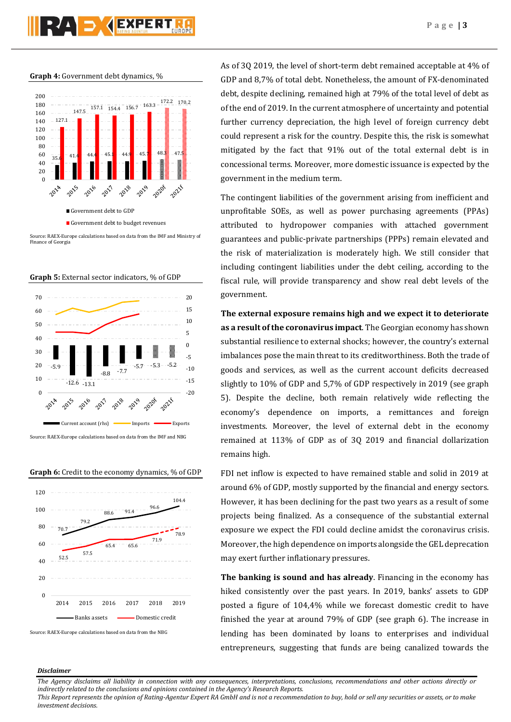**Graph 4:** Government debt dynamics, %



Source: RAEX-Europe calculations based on data from the IMF and Ministry of Finance of Georgia





Source: RAEX-Europe calculations based on data from the IMF and NBG





Source: RAEX-Europe calculations based on data from the NBG

As of 3Q 2019, the level of short-term debt remained acceptable at 4% of GDP and 8,7% of total debt. Nonetheless, the amount of FX-denominated debt, despite declining, remained high at 79% of the total level of debt as of the end of 2019. In the current atmosphere of uncertainty and potential further currency depreciation, the high level of foreign currency debt could represent a risk for the country. Despite this, the risk is somewhat mitigated by the fact that 91% out of the total external debt is in concessional terms. Moreover, more domestic issuance is expected by the government in the medium term.

The contingent liabilities of the government arising from inefficient and unprofitable SOEs, as well as power purchasing agreements (PPAs) attributed to hydropower companies with attached government guarantees and public-private partnerships (PPPs) remain elevated and the risk of materialization is moderately high. We still consider that including contingent liabilities under the debt ceiling, according to the fiscal rule, will provide transparency and show real debt levels of the government.

**The external exposure remains high and we expect it to deteriorate as a result of the coronavirus impact**. The Georgian economy has shown substantial resilience to external shocks; however, the country's external imbalances pose the main threat to its creditworthiness. Both the trade of goods and services, as well as the current account deficits decreased slightly to 10% of GDP and 5,7% of GDP respectively in 2019 (see graph 5). Despite the decline, both remain relatively wide reflecting the economy's dependence on imports, a remittances and foreign investments. Moreover, the level of external debt in the economy remained at 113% of GDP as of 3Q 2019 and financial dollarization remains high.

FDI net inflow is expected to have remained stable and solid in 2019 at around 6% of GDP, mostly supported by the financial and energy sectors. However, it has been declining for the past two years as a result of some projects being finalized. As a consequence of the substantial external exposure we expect the FDI could decline amidst the coronavirus crisis. Moreover, the high dependence on imports alongside the GEL deprecation may exert further inflationary pressures.

**The banking is sound and has already**. Financing in the economy has hiked consistently over the past years. In 2019, banks' assets to GDP posted a figure of 104,4% while we forecast domestic credit to have finished the year at around 79% of GDP (see graph 6). The increase in lending has been dominated by loans to enterprises and individual entrepreneurs, suggesting that funds are being canalized towards the

### *Disclaimer*

*The Agency disclaims all liability in connection with any consequences, interpretations, conclusions, recommendations and other actions directly or indirectly related to the conclusions and opinions contained in the Agency's Research Reports.*